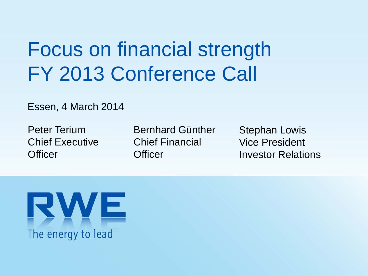# Focus on financial strength FY 2013 Conference Call

### Essen, 4 March 2014

Peter Terium Chief Executive **Officer** 

Bernhard Günther Chief Financial **Officer** 

Stephan Lowis Vice President Investor Relations

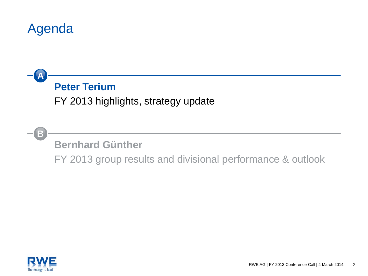### Agenda

### **Peter Terium**

FY 2013 highlights, strategy update

**B**

**A**

**Bernhard Günther**

FY 2013 group results and divisional performance & outlook

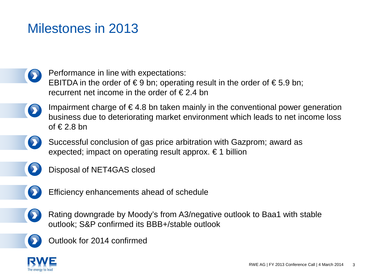### Milestones in 2013

Performance in line with expectations: EBITDA in the order of  $\epsilon$ 9 bn; operating result in the order of  $\epsilon$ 5.9 bn; recurrent net income in the order of  $\epsilon$  2.4 bn

- - Impairment charge of  $\epsilon$ 4.8 bn taken mainly in the conventional power generation business due to deteriorating market environment which leads to net income loss of  $\in$  2.8 bn
	- Successful conclusion of gas price arbitration with Gazprom; award as expected; impact on operating result approx. € 1 billion
- 
- Disposal of NET4GAS closed



Efficiency enhancements ahead of schedule



Rating downgrade by Moody's from A3/negative outlook to Baa1 with stable outlook; S&P confirmed its BBB+/stable outlook



Outlook for 2014 confirmed

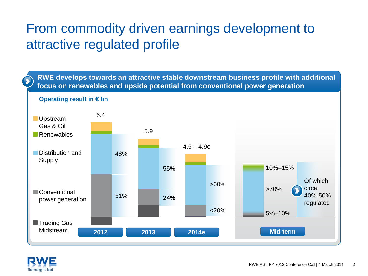### From commodity driven earnings development to attractive regulated profile

**RWE develops towards an attractive stable downstream business profile with additional focus on renewables and upside potential from conventional power generation**



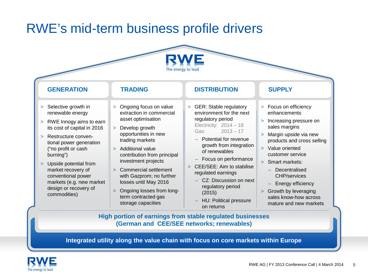### RWE's mid-term business profile drivers



| <b>GENERATION</b>                                                                                                                                                                                                                                                                                                                                                 | <b>TRADING</b>                                                                                                                                                                                                                                                                                                                                                                            | <b>DISTRIBUTION</b>                                                                                                                                                                                                                                                                                                                                                                 | <b>SUPPLY</b>                                                                                                                                                                                                                                                                                                                                                                               |
|-------------------------------------------------------------------------------------------------------------------------------------------------------------------------------------------------------------------------------------------------------------------------------------------------------------------------------------------------------------------|-------------------------------------------------------------------------------------------------------------------------------------------------------------------------------------------------------------------------------------------------------------------------------------------------------------------------------------------------------------------------------------------|-------------------------------------------------------------------------------------------------------------------------------------------------------------------------------------------------------------------------------------------------------------------------------------------------------------------------------------------------------------------------------------|---------------------------------------------------------------------------------------------------------------------------------------------------------------------------------------------------------------------------------------------------------------------------------------------------------------------------------------------------------------------------------------------|
| > Selective growth in<br>renewable energy<br>RWE Innogy aims to earn<br>$\geq$<br>its cost of capital in 2016<br>Restructure conven-<br>$\geq$<br>tional power generation<br>("no profit or cash<br>burning")<br>Upside potential from<br>$\geq$<br>market recovery of<br>conventional power<br>markets (e.g. new market<br>design or recovery of<br>commodities) | > Ongoing focus on value<br>extraction in commercial<br>asset optimisation<br>> Develop growth<br>opportunities in new<br>trading markets<br>> Additional value<br>contribution from principal<br>investment projects<br>> Commercial settlement<br>with Gazprom; no further<br>losses until May 2016<br>Ongoing losses from long-<br>$\geq$<br>term contracted gas<br>storage capacities | > GER: Stable regulatory<br>environment for the next<br>regulatory period<br>Electricity: $2014 - 18$<br>$2013 - 17$<br>Gas: Gas<br>- Potential for revenue<br>growth from integration<br>of renewables<br>Focus on performance<br>CEE/SEE: Aim to stabilise<br>regulated earnings<br>CZ: Discussion on next<br>regulatory period<br>(2015)<br>HU: Political pressure<br>on returns | > Focus on efficiency<br>enhancements<br>Increasing pressure on<br>$\geq$<br>sales margins<br>Margin upside via new<br>$\geq$<br>products and cross selling<br>Value oriented<br>$\geq$<br>customer service<br>Smart markets:<br>$\geq$<br>- Decentralised<br><b>CHP/services</b><br>Energy efficiency<br>Growth by leveraging<br>$\geq$<br>sales know-how across<br>mature and new markets |

**(German and CEE/SEE networks; renewables)**

**Integrated utility along the value chain with focus on core markets within Europe**

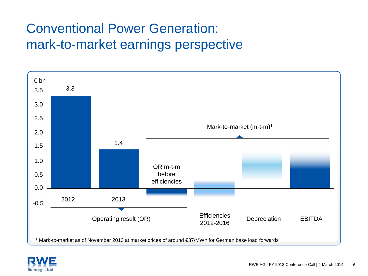### Conventional Power Generation: mark-to-market earnings perspective



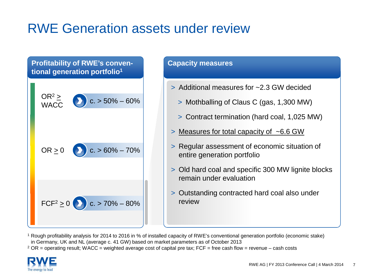### RWE Generation assets under review

#### **Profitability of RWE's conventional generation portfolio1**



#### **Capacity measures**

- > Additional measures for ~2.3 GW decided
	- > Mothballing of Claus C (gas, 1,300 MW)
	- > Contract termination (hard coal, 1,025 MW)
- > Measures for total capacity of ~6.6 GW
- > Regular assessment of economic situation of entire generation portfolio
- > Old hard coal and specific 300 MW lignite blocks remain under evaluation
- > Outstanding contracted hard coal also under review

<sup>1</sup> Rough profitability analysis for 2014 to 2016 in % of installed capacity of RWE's conventional generation portfolio (economic stake) in Germany, UK and NL (average c. 41 GW) based on market parameters as of October 2013

<sup>2</sup> OR = operating result; WACC = weighted average cost of capital pre tax; FCF = free cash flow = revenue – cash costs

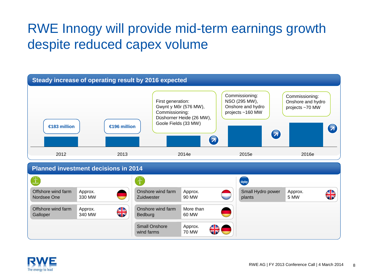### RWE Innogy will provide mid-term earnings growth despite reduced capex volume



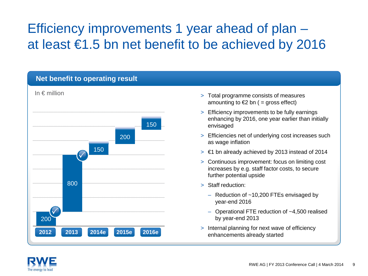### Efficiency improvements 1 year ahead of plan – at least €1.5 bn net benefit to be achieved by 2016



- > Total programme consists of measures amounting to  $\epsilon$ 2 bn ( = gross effect)
- > Efficiency improvements to be fully earnings enhancing by 2016, one year earlier than initially envisaged
- > Efficiencies net of underlying cost increases such as wage inflation
- $>$   $\epsilon$ 1 bn already achieved by 2013 instead of 2014
- > Continuous improvement: focus on limiting cost increases by e.g. staff factor costs, to secure further potential upside
- > Staff reduction:
	- Reduction of  $~10,200$  FTEs envisaged by year-end 2016
	- Operational FTE reduction of ~4,500 realised by year-end 2013
- > Internal planning for next wave of efficiency enhancements already started

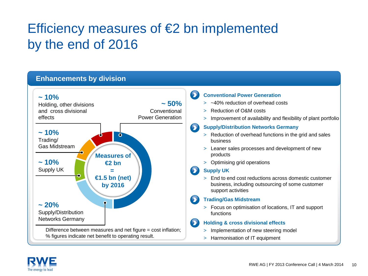### Efficiency measures of €2 bn implemented by the end of 2016



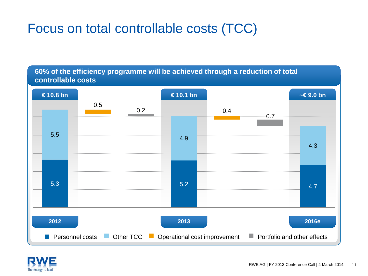### Focus on total controllable costs (TCC)

**60% of the efficiency programme will be achieved through a reduction of total controllable costs**



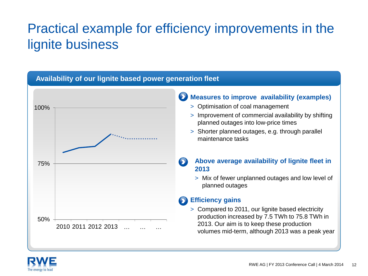### Practical example for efficiency improvements in the lignite business



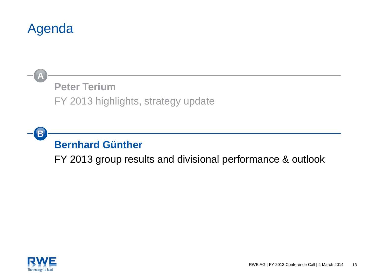### Agenda

### **Peter Terium** FY 2013 highlights, strategy update **A**

### **B Bernhard Günther**

FY 2013 group results and divisional performance & outlook

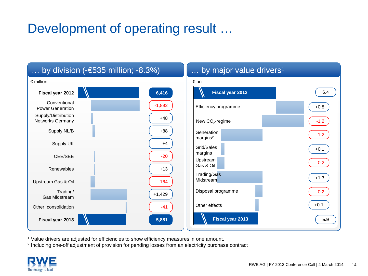### Development of operating result …



<sup>1</sup> Value drivers are adjusted for efficiencies to show efficiency measures in one amount.

<sup>2</sup> Including one-off adjustment of provision for pending losses from an electricity purchase contract

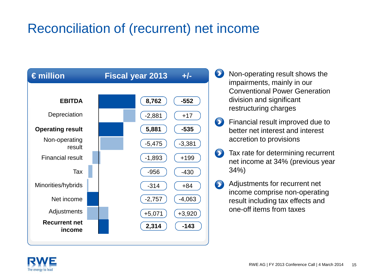### Reconciliation of (recurrent) net income



- $\mathbf{\Omega}$ Non-operating result shows the impairments, mainly in our Conventional Power Generation division and significant restructuring charges
- $\bullet$ Financial result improved due to better net interest and interest accretion to provisions
- $\bullet$ Tax rate for determining recurrent net income at 34% (previous year 34%)
- $\bullet$ Adjustments for recurrent net income comprise non-operating result including tax effects and one-off items from taxes

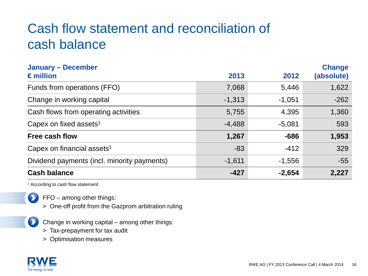### Cash flow statement and reconciliation of cash balance

| <b>January - December</b><br>$\epsilon$ million | 2013     | 2012     | <b>Change</b><br>(absolute) |
|-------------------------------------------------|----------|----------|-----------------------------|
| Funds from operations (FFO)                     | 7,068    | 5,446    | 1,622                       |
| Change in working capital                       | $-1,313$ | $-1,051$ | $-262$                      |
| Cash flows from operating activities            | 5,755    | 4,395    | 1,360                       |
| Capex on fixed assets <sup>1</sup>              | $-4,488$ | $-5,081$ | 593                         |
| Free cash flow                                  | 1,267    | $-686$   | 1,953                       |
| Capex on financial assets <sup>1</sup>          | $-83$    | $-412$   | 329                         |
| Dividend payments (incl. minority payments)     | $-1,611$ | $-1,556$ | $-55$                       |
| <b>Cash balance</b>                             | $-427$   | $-2,654$ | 2,227                       |

<sup>1</sup> According to cash flow statement.



 $\bullet$ 

 $\sum$  FFO – among other things:

- > One-off profit from the Gazprom arbitration ruling
- Change in working capital among other things:
- > Tax-prepayment for tax audit
- > Optimisation measures

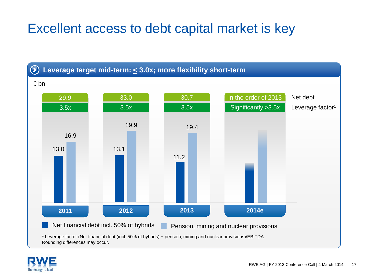### Excellent access to debt capital market is key



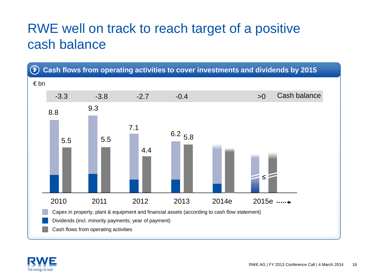### RWE well on track to reach target of a positive cash balance



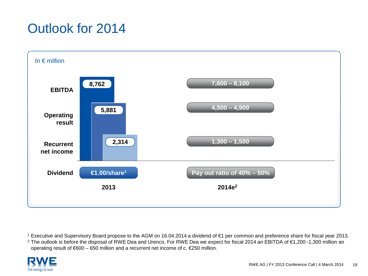### Outlook for 2014



<sup>1</sup> Executive and Supervisory Board propose to the AGM on 16.04.2014 a dividend of €1 per common and preference share for fiscal year 2013.

<sup>2</sup> The outlook is before the disposal of RWE Dea and Urenco. For RWE Dea we expect for fiscal 2014 an EBITDA of €1,200 -1,300 million an operating result of €600 – 650 million and a recurrent net income of c. €250 million.

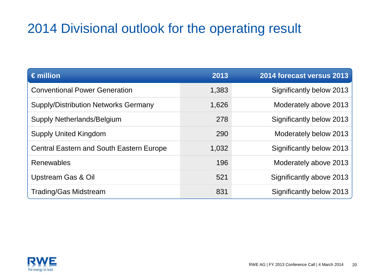### 2014 Divisional outlook for the operating result

| $\epsilon$ million                              | 2013  | 2014 forecast versus 2013 |
|-------------------------------------------------|-------|---------------------------|
| <b>Conventional Power Generation</b>            | 1,383 | Significantly below 2013  |
| <b>Supply/Distribution Networks Germany</b>     | 1,626 | Moderately above 2013     |
| Supply Netherlands/Belgium                      | 278   | Significantly below 2013  |
| <b>Supply United Kingdom</b>                    | 290   | Moderately below 2013     |
| <b>Central Eastern and South Eastern Europe</b> | 1,032 | Significantly below 2013  |
| Renewables                                      | 196   | Moderately above 2013     |
| <b>Upstream Gas &amp; Oil</b>                   | 521   | Significantly above 2013  |
| <b>Trading/Gas Midstream</b>                    | 831   | Significantly below 2013  |

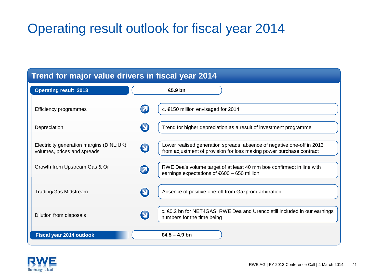### Operating result outlook for fiscal year 2014

| Trend for major value drivers in fiscal year 2014                        |                                                                                                                                                                     |  |  |  |  |  |
|--------------------------------------------------------------------------|---------------------------------------------------------------------------------------------------------------------------------------------------------------------|--|--|--|--|--|
| <b>Operating result 2013</b>                                             | $\bigoplus$ ,9 bn                                                                                                                                                   |  |  |  |  |  |
| Efficiency programmes                                                    | c. €150 million envisaged for 2014                                                                                                                                  |  |  |  |  |  |
| Depreciation                                                             | 9<br>Trend for higher depreciation as a result of investment programme                                                                                              |  |  |  |  |  |
| Electricity generation margins (D;NL;UK);<br>volumes, prices and spreads | Lower realised generation spreads; absence of negative one-off in 2013<br>$\mathbf{\Omega}$<br>from adjustment of provision for loss making power purchase contract |  |  |  |  |  |
| Growth from Upstream Gas & Oil                                           | RWE Dea's volume target of at least 40 mm boe confirmed; in line with<br>$\bm{\Theta}$<br>earnings expectations of $600 - 650$ million                              |  |  |  |  |  |
| <b>Trading/Gas Midstream</b>                                             | $\boldsymbol{\Theta}$<br>Absence of positive one-off from Gazprom arbitration                                                                                       |  |  |  |  |  |
| Dilution from disposals                                                  | c. €0.2 bn for NET4GAS; RWE Dea and Urenco still included in our earnings<br>$\mathbf \Theta$<br>numbers for the time being                                         |  |  |  |  |  |
| <b>Fiscal year 2014 outlook</b>                                          | $64.5 - 4.9$ bn                                                                                                                                                     |  |  |  |  |  |

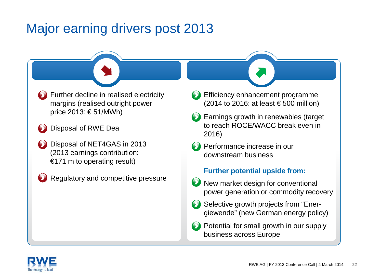### Major earning drivers post 2013

Further decline in realised electricity margins (realised outright power price 2013: € 51/MWh)

- Disposal of RWE Dea
- Disposal of NET4GAS in 2013 (2013 earnings contribution: €171 m to operating result)
	- Regulatory and competitive pressure
- Efficiency enhancement programme (2014 to 2016: at least  $\epsilon$  500 million)
- Earnings growth in renewables (target to reach ROCE/WACC break even in 2016)
- **Performance increase in our** downstream business

#### **Further potential upside from:**

- **W** New market design for conventional power generation or commodity recovery
- Selective growth projects from "Energiewende" (new German energy policy)
- Potential for small growth in our supply business across Europe

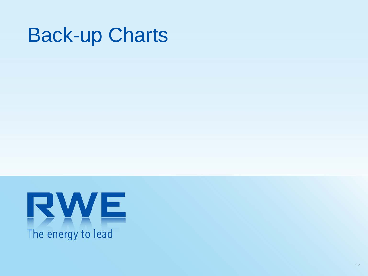# Back-up Charts

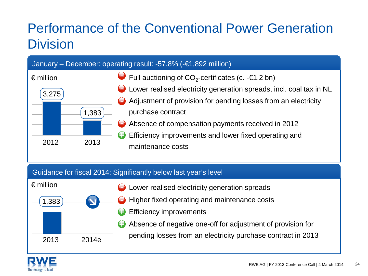### Performance of the Conventional Power Generation **Division**

|                    | January – December: operating result: -57.8% $\overline{(-61,892 \text{ million})}$ |                |                                                                          |  |  |  |
|--------------------|-------------------------------------------------------------------------------------|----------------|--------------------------------------------------------------------------|--|--|--|
| $\epsilon$ million |                                                                                     |                | $\bullet$ Full auctioning of CO <sub>2</sub> -certificates (c. -€1.2 bn) |  |  |  |
| 3,275              |                                                                                     |                | ◯ Lower realised electricity generation spreads, incl. coal tax in NL    |  |  |  |
|                    |                                                                                     |                | Adjustment of provision for pending losses from an electricity           |  |  |  |
|                    | ,383                                                                                |                | purchase contract                                                        |  |  |  |
|                    |                                                                                     | $\blacksquare$ | Absence of compensation payments received in 2012                        |  |  |  |
|                    |                                                                                     |                | Efficiency improvements and lower fixed operating and                    |  |  |  |
| 2012               | 2013                                                                                |                | maintenance costs                                                        |  |  |  |

#### Guidance for fiscal 2014: Significantly below last year's level



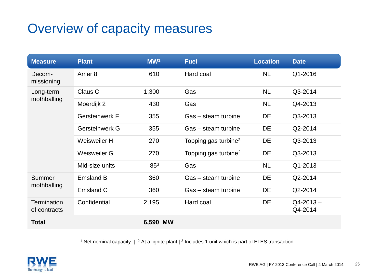### Overview of capacity measures

| <b>Measure</b>                     | <b>Plant</b>          | MW <sup>1</sup> | <b>Fuel</b>                      | <b>Location</b> | <b>Date</b>              |
|------------------------------------|-----------------------|-----------------|----------------------------------|-----------------|--------------------------|
| Decom-<br>missioning               | Amer <sub>8</sub>     | 610             | Hard coal                        | <b>NL</b>       | Q1-2016                  |
| Long-term                          | Claus C               | 1,300           | Gas                              | <b>NL</b>       | Q3-2014                  |
| mothballing                        | Moerdijk 2            | 430             | Gas                              | <b>NL</b>       | Q4-2013                  |
|                                    | <b>Gersteinwerk F</b> | 355             | Gas - steam turbine              | <b>DE</b>       | Q3-2013                  |
|                                    | Gersteinwerk G        | 355             | Gas – steam turbine              | DE              | Q2-2014                  |
|                                    | Weisweiler H          | 270             | Topping gas turbine <sup>2</sup> | DE              | Q3-2013                  |
|                                    | Weisweiler G          | 270             | Topping gas turbine <sup>2</sup> | <b>DE</b>       | Q3-2013                  |
|                                    | Mid-size units        | 85 <sup>3</sup> | Gas                              | <b>NL</b>       | Q1-2013                  |
| Summer                             | <b>Emsland B</b>      | 360             | Gas - steam turbine              | DE              | Q2-2014                  |
| mothballing                        | Emsland C             | 360             | Gas – steam turbine              | DE              | Q2-2014                  |
| <b>Termination</b><br>of contracts | Confidential          | 2,195           | Hard coal                        | DE              | $Q4 - 2013 -$<br>Q4-2014 |
| <b>Total</b>                       |                       | 6,590 MW        |                                  |                 |                          |

<sup>1</sup> Net nominal capacity  $\mid$  <sup>2</sup> At a lignite plant  $\mid$  <sup>3</sup> Includes 1 unit which is part of ELES transaction

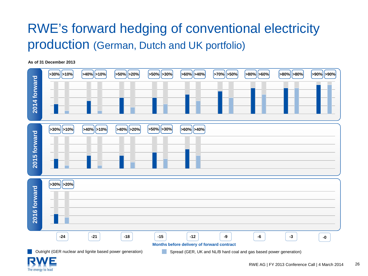### RWE's forward hedging of conventional electricity production (German, Dutch and UK portfolio)

**As of 31 December 2013**



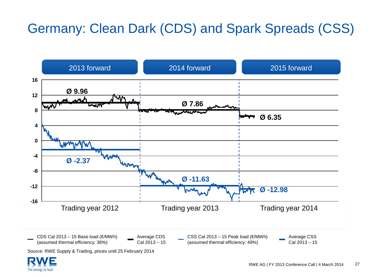### Germany: Clean Dark (CDS) and Spark Spreads (CSS)



Source: RWE Supply & Trading, prices until 25 February 2014

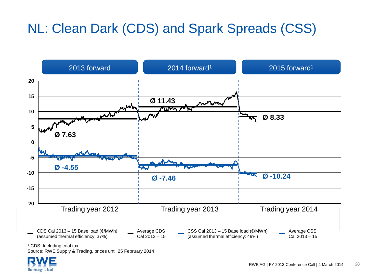### NL: Clean Dark (CDS) and Spark Spreads (CSS)



<sup>1</sup> CDS: Including coal tax

Source: RWE Supply & Trading, prices until 25 February 2014

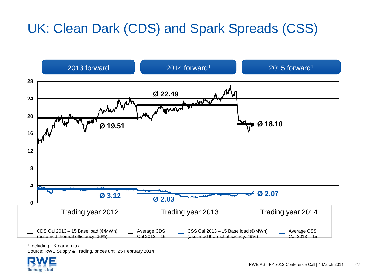## UK: Clean Dark (CDS) and Spark Spreads (CSS)



<sup>1</sup> Including UK carbon tax

Source: RWE Supply & Trading, prices until 25 February 2014

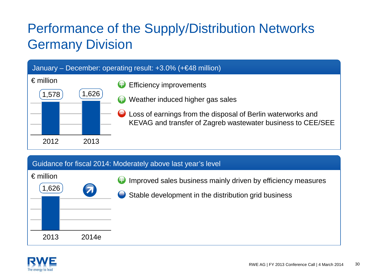### Performance of the Supply/Distribution Networks Germany Division



#### Guidance for fiscal 2014: Moderately above last year's level

| $\epsilon$ million | Improved sales business mainly driven by efficiency measures |
|--------------------|--------------------------------------------------------------|
| 1,626              | Θ                                                            |
| 7                  | Stable development in the distribution grid business         |
| 2013<br>2014e      |                                                              |

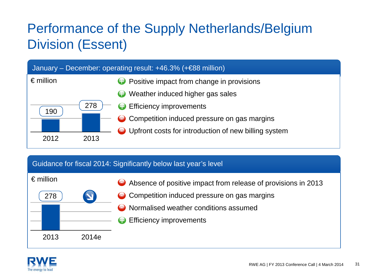### Performance of the Supply Netherlands/Belgium Division (Essent)



#### Guidance for fiscal 2014: Significantly below last year's level

| $\epsilon$ million |       | Absence of positive impact from release of provisions in 2013 |
|--------------------|-------|---------------------------------------------------------------|
| 278                |       | • Competition induced pressure on gas margins                 |
|                    |       | • Normalised weather conditions assumed                       |
|                    |       | <b>e</b> Efficiency improvements                              |
| 2013               | 2014e |                                                               |

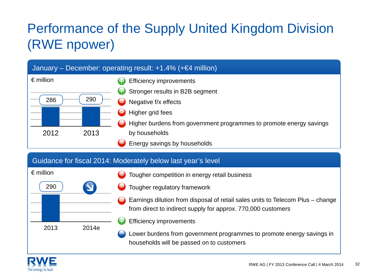# Performance of the Supply United Kingdom Division (RWE npower)



#### Guidance for fiscal 2014: Moderately below last year's level



- Tougher competition in energy retail business
- Tougher regulatory framework
- Earnings dilution from disposal of retail sales units to Telecom Plus change from direct to indirect supply for approx. 770,000 customers
- Efficiency improvements

Lower burdens from government programmes to promote energy savings in households will be passed on to customers

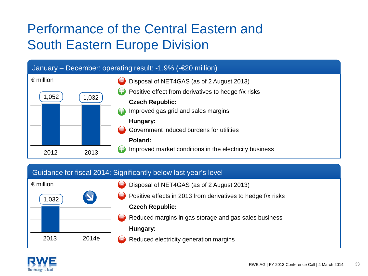### Performance of the Central Eastern and South Eastern Europe Division



#### Guidance for fiscal 2014: Significantly below last year's level



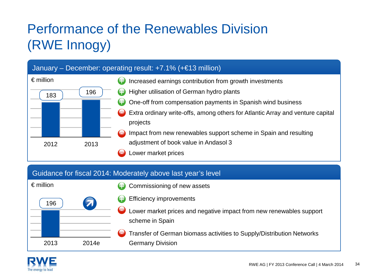# Performance of the Renewables Division (RWE Innogy)

|                    | January – December: operating result: $+7.1\%$ ( $+€13$ million) |                                                                                            |  |  |  |  |  |
|--------------------|------------------------------------------------------------------|--------------------------------------------------------------------------------------------|--|--|--|--|--|
| $\epsilon$ million |                                                                  | Increased earnings contribution from growth investments<br>9                               |  |  |  |  |  |
| 183                | 196                                                              | Higher utilisation of German hydro plants                                                  |  |  |  |  |  |
|                    |                                                                  | One-off from compensation payments in Spanish wind business                                |  |  |  |  |  |
|                    |                                                                  | Extra ordinary write-offs, among others for Atlantic Array and venture capital<br>projects |  |  |  |  |  |
|                    |                                                                  | Impact from new renewables support scheme in Spain and resulting                           |  |  |  |  |  |
| 2012               | 2013                                                             | adjustment of book value in Andasol 3                                                      |  |  |  |  |  |
|                    |                                                                  | ower market prices                                                                         |  |  |  |  |  |

#### Guidance for fiscal 2014: Moderately above last year's level



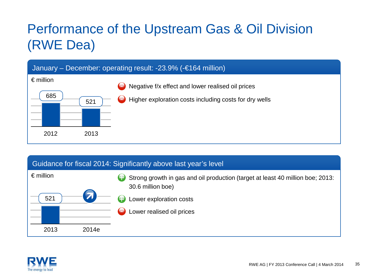## Performance of the Upstream Gas & Oil Division (RWE Dea)



#### Guidance for fiscal 2014: Significantly above last year's level

| $\epsilon$ million<br>521 |       | Strong growth in gas and oil production (target at least 40 million boe; 2013:<br>9<br>30.6 million boe)<br>Lower exploration costs<br>Lower realised oil prices<br>$\overline{\phantom{0}}$ |
|---------------------------|-------|----------------------------------------------------------------------------------------------------------------------------------------------------------------------------------------------|
| 2013                      | 2014e |                                                                                                                                                                                              |

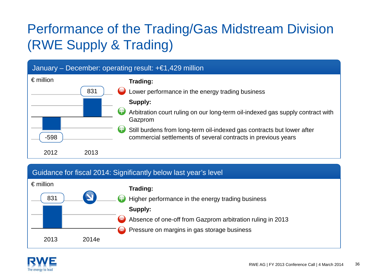# Performance of the Trading/Gas Midstream Division (RWE Supply & Trading)



#### Guidance for fiscal 2014: Significantly below last year's level



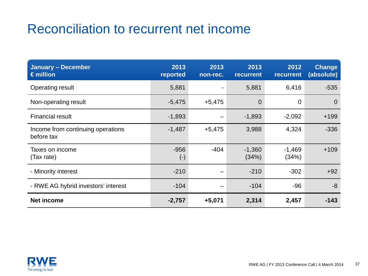### Reconciliation to recurrent net income

| <b>January - December</b><br>$\epsilon$ million | 2013<br>reported    | 2013<br>non-rec. | 2013<br><b>recurrent</b> | 2012<br>recurrent | <b>Change</b><br>(absolute) |
|-------------------------------------------------|---------------------|------------------|--------------------------|-------------------|-----------------------------|
| <b>Operating result</b>                         | 5,881               |                  | 5,881                    | 6,416             | $-535$                      |
| Non-operating result                            | $-5,475$            | $+5,475$         | $\overline{0}$           | 0                 | $\Omega$                    |
| <b>Financial result</b>                         | $-1,893$            |                  | $-1,893$                 | $-2,092$          | $+199$                      |
| Income from continuing operations<br>before tax | $-1,487$            | $+5,475$         | 3,988                    | 4,324             | $-336$                      |
| Taxes on income<br>(Tax rate)                   | $-956$<br>$(\cdot)$ | $-404$           | $-1,360$<br>(34%)        | $-1,469$<br>(34%) | $+109$                      |
| - Minority interest                             | $-210$              |                  | $-210$                   | $-302$            | $+92$                       |
| - RWE AG hybrid investors' interest             | $-104$              |                  | $-104$                   | $-96$             | $-8$                        |
| <b>Net income</b>                               | $-2,757$            | $+5,071$         | 2,314                    | 2,457             | $-143$                      |

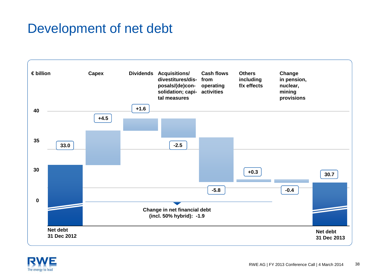### Development of net debt



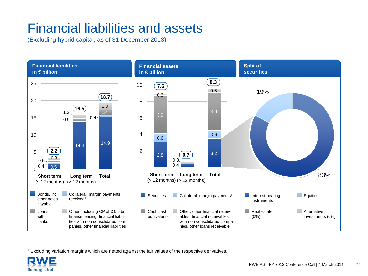### Financial liabilities and assets

(Excluding hybrid capital, as of 31 December 2013)



<sup>1</sup> Excluding variation margins which are netted against the fair values of the respective derivatives.

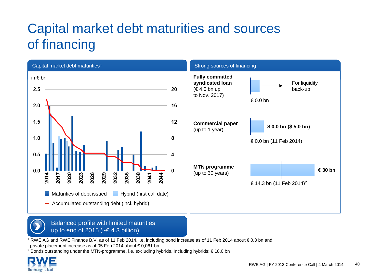### Capital market debt maturities and sources of financing





<sup>1</sup> RWE AG and RWE Finance B.V. as of 11 Feb 2014, i.e. including bond increase as of 11 Feb 2014 about € 0.3 bn and private placement increase as of 05 Feb 2014 about € 0,061 bn

<sup>2</sup> Bonds outstanding under the MTN-programme, i.e. excluding hybrids. Including hybrids: € 18.0 bn

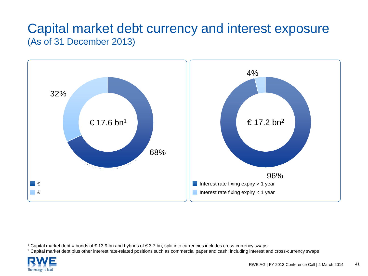### Capital market debt currency and interest exposure (As of 31 December 2013)



<sup>1</sup> Capital market debt = bonds of € 13.9 bn and hybrids of € 3.7 bn; split into currencies includes cross-currency swaps

<sup>2</sup> Capital market debt plus other interest rate-related positions such as commercial paper and cash; including interest and cross-currency swaps

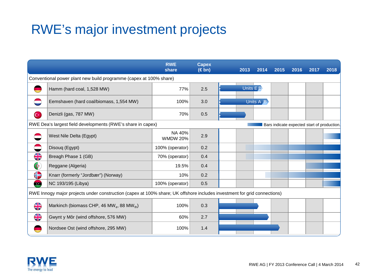### RWE's major investment projects

|                             |                                                                                                                          | <b>RWE</b><br>share       | <b>Capex</b><br>$(\in$ bn) | 2013       | 2014      | 2015 | 2016 | 2017                                        | 2018 |
|-----------------------------|--------------------------------------------------------------------------------------------------------------------------|---------------------------|----------------------------|------------|-----------|------|------|---------------------------------------------|------|
|                             | Conventional power plant new build programme (capex at 100% share)                                                       |                           |                            |            |           |      |      |                                             |      |
|                             | Hamm (hard coal, 1,528 MW)                                                                                               | 77%                       | 2.5                        | Units $ED$ |           |      |      |                                             |      |
|                             | Eemshaven (hard coal/biomass, 1,554 MW)                                                                                  | 100%                      | 3.0                        |            | Units A B |      |      |                                             |      |
| $\mathbf{C}^*$              | Denizli (gas, 787 MW)                                                                                                    | 70%                       | 0.5                        |            |           |      |      |                                             |      |
|                             | RWE Dea's largest field developments (RWE's share in capex)                                                              |                           |                            |            |           |      |      | Bars indicate expected start of production. |      |
|                             | West Nile Delta (Egypt)                                                                                                  | NA 40%<br><b>WMDW 20%</b> | 2.9                        |            |           |      |      |                                             |      |
|                             | Disouq (Egypt)                                                                                                           | 100% (operator)           | 0.2                        |            |           |      |      |                                             |      |
| $\frac{\text{N}}{\text{N}}$ | Breagh Phase 1 (GB)                                                                                                      | 70% (operator)            | 0.4                        |            |           |      |      |                                             |      |
| G                           | Reggane (Algeria)                                                                                                        | 19.5%                     | 0.4                        |            |           |      |      |                                             |      |
| €                           | Knarr (formerly "Jordbær") (Norway)                                                                                      | 10%                       | 0.2                        |            |           |      |      |                                             |      |
| œ                           | NC 193/195 (Libya)                                                                                                       | 100% (operator)           | 0.5                        |            |           |      |      |                                             |      |
|                             | RWE Innogy major projects under construction (capex at 100% share; UK offshore includes investment for grid connections) |                           |                            |            |           |      |      |                                             |      |
| $rac{\sqrt{2}}{\sqrt{2}}$   | Markinch (biomass CHP, 46 MW <sub>e</sub> , 88 MW <sub>th</sub> )                                                        | 100%                      | 0.3                        |            |           |      |      |                                             |      |
| $\frac{\text{N}}{\text{N}}$ | Gwynt y Môr (wind offshore, 576 MW)                                                                                      | 60%                       | 2.7                        |            |           |      |      |                                             |      |
|                             | Nordsee Ost (wind offshore, 295 MW)                                                                                      | 100%                      | 1.4                        |            |           |      |      |                                             |      |